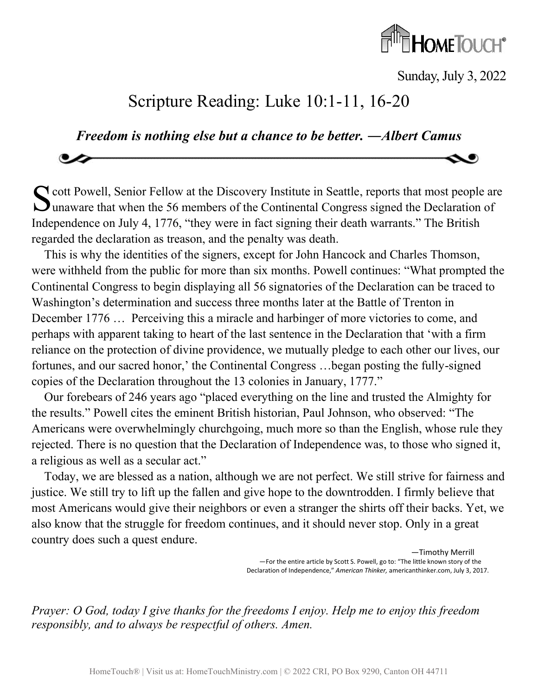

Sunday, July 3, 2022

## Scripture Reading: Luke 10:1-11, 16-20

*Freedom is nothing else but a chance to be better. ―Albert Camus*

S cott Powell, Senior Fellow at the Discovery Institute in Seattle, reports that most people are unaware that when the 56 members of the Continental Congress signed the Declaration of **U**unaware that when the 56 members of the Continental Congress signed the Declaration of Independence on July 4, 1776, "they were in fact signing their death warrants." The British regarded the declaration as treason, and the penalty was death.

This is why the identities of the signers, except for John Hancock and Charles Thomson, were withheld from the public for more than six months. Powell continues: "What prompted the Continental Congress to begin displaying all 56 signatories of the Declaration can be traced to Washington's determination and success three months later at the Battle of Trenton in December 1776 … Perceiving this a miracle and harbinger of more victories to come, and perhaps with apparent taking to heart of the last sentence in the Declaration that 'with a firm reliance on the protection of divine providence, we mutually pledge to each other our lives, our fortunes, and our sacred honor,' the Continental Congress …began posting the fully-signed copies of the Declaration throughout the 13 colonies in January, 1777."

Our forebears of 246 years ago "placed everything on the line and trusted the Almighty for the results." Powell cites the eminent British historian, Paul Johnson, who observed: "The Americans were overwhelmingly churchgoing, much more so than the English, whose rule they rejected. There is no question that the Declaration of Independence was, to those who signed it, a religious as well as a secular act."

Today, we are blessed as a nation, although we are not perfect. We still strive for fairness and justice. We still try to lift up the fallen and give hope to the downtrodden. I firmly believe that most Americans would give their neighbors or even a stranger the shirts off their backs. Yet, we also know that the struggle for freedom continues, and it should never stop. Only in a great country does such a quest endure.

> ―Timothy Merrill ―For the entire article by Scott S. Powell, go to: "The little known story of the Declaration of Independence," *American Thinker,* americanthinker.com, July 3, 2017.

*Prayer: O God, today I give thanks for the freedoms I enjoy. Help me to enjoy this freedom responsibly, and to always be respectful of others. Amen.*